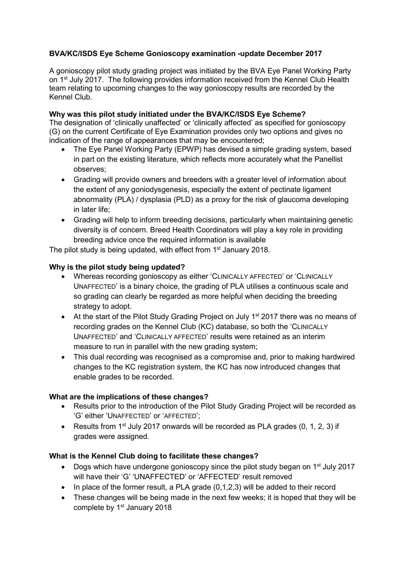# BVA/KC/ISDS Eye Scheme Gonioscopy examination -update December 2017

A gonioscopy pilot study grading project was initiated by the BVA Eye Panel Working Party on 1<sup>st</sup> July 2017. The following provides information received from the Kennel Club Health team relating to upcoming changes to the way gonioscopy results are recorded by the Kennel Club.

### Why was this pilot study initiated under the BVA/KC/ISDS Eye Scheme?

The designation of 'clinically unaffected' or 'clinically affected' as specified for gonioscopy (G) on the current Certificate of Eye Examination provides only two options and gives no indication of the range of appearances that may be encountered;

- The Eye Panel Working Party (EPWP) has devised a simple grading system, based in part on the existing literature, which reflects more accurately what the Panellist observes;
- Grading will provide owners and breeders with a greater level of information about the extent of any goniodysgenesis, especially the extent of pectinate ligament abnormality (PLA) / dysplasia (PLD) as a proxy for the risk of glaucoma developing in later life;
- Grading will help to inform breeding decisions, particularly when maintaining genetic diversity is of concern. Breed Health Coordinators will play a key role in providing breeding advice once the required information is available

The pilot study is being updated, with effect from  $1<sup>st</sup>$  January 2018.

### Why is the pilot study being updated?

- Whereas recording gonioscopy as either 'CLINICALLY AFFECTED' or 'CLINICALLY UNAFFECTED' is a binary choice, the grading of PLA utilises a continuous scale and so grading can clearly be regarded as more helpful when deciding the breeding strategy to adopt.
- At the start of the Pilot Study Grading Project on July 1<sup>st</sup> 2017 there was no means of recording grades on the Kennel Club (KC) database, so both the 'CLINICALLY UNAFFECTED' and 'CLINICALLY AFFECTED' results were retained as an interim measure to run in parallel with the new grading system;
- This dual recording was recognised as a compromise and, prior to making hardwired changes to the KC registration system, the KC has now introduced changes that enable grades to be recorded.

#### What are the implications of these changes?

- Results prior to the introduction of the Pilot Study Grading Project will be recorded as 'G' either 'UNAFFECTED' or 'AFFECTED';
- Results from 1<sup>st</sup> July 2017 onwards will be recorded as PLA grades  $(0, 1, 2, 3)$  if grades were assigned.

## What is the Kennel Club doing to facilitate these changes?

- Dogs which have undergone gonioscopy since the pilot study began on  $1<sup>st</sup>$  July 2017 will have their 'G' 'UNAFFECTED' or 'AFFECTED' result removed
- $\bullet$  In place of the former result, a PLA grade (0,1,2,3) will be added to their record
- These changes will be being made in the next few weeks: it is hoped that they will be complete by 1<sup>st</sup> January 2018